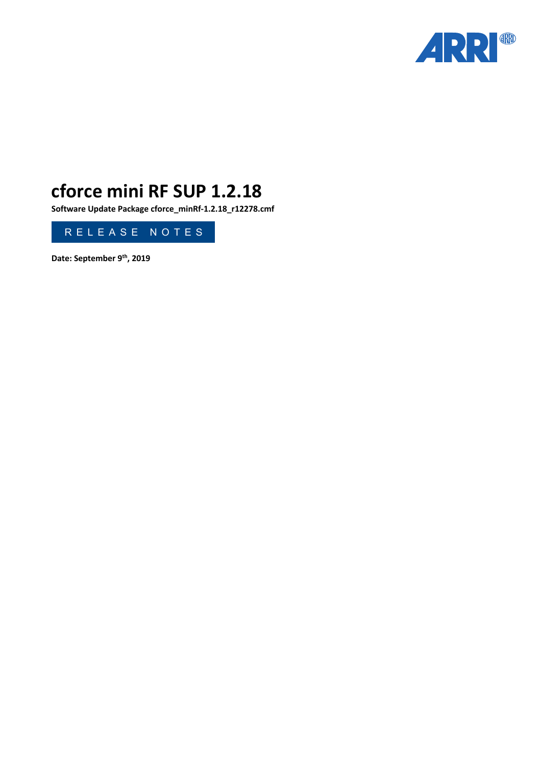

# **cforce mini RF SUP 1.2.18**

**Software Update Package cforce\_minRf-1.2.18\_r12278.cmf**



**Date: September 9th, 2019**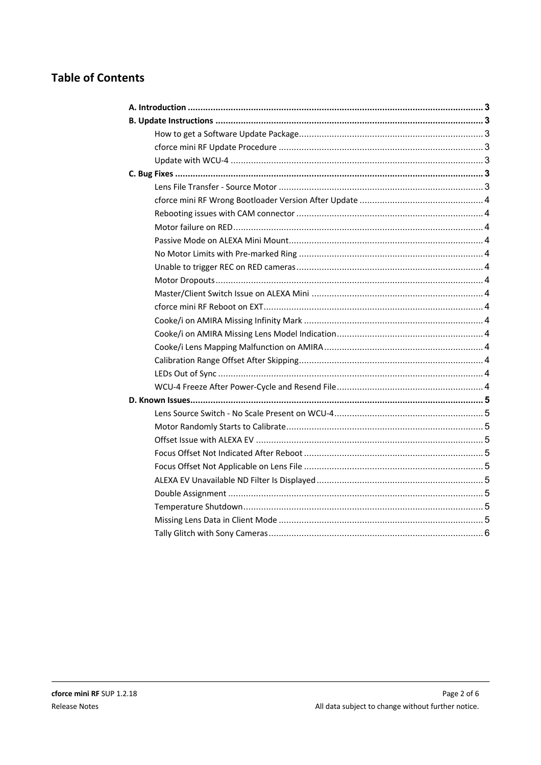# **Table of Contents**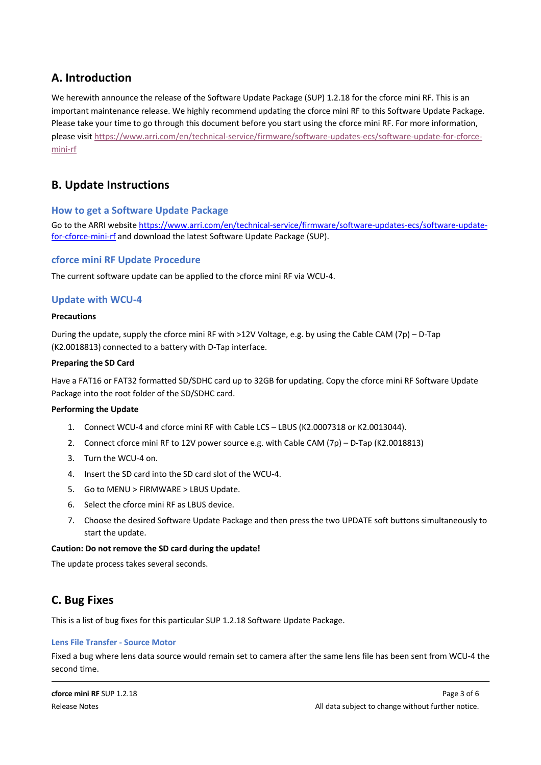# <span id="page-2-0"></span>**A. Introduction**

We herewith announce the release of the Software Update Package (SUP) 1.2.18 for the cforce mini RF. This is an important maintenance release. We highly recommend updating the cforce mini RF to this Software Update Package. Please take your time to go through this document before you start using the cforce mini RF. For more information, please visit [https://www.arri.com/en/technical-service/firmware/software-updates-ecs/software-update-for-cforce](https://www.arri.com/en/technical-service/firmware/software-updates-ecs/software-update-for-cforce-mini-rf)[mini-rf](https://www.arri.com/en/technical-service/firmware/software-updates-ecs/software-update-for-cforce-mini-rf)

# <span id="page-2-1"></span>**B. Update Instructions**

# <span id="page-2-2"></span>**How to get a Software Update Package**

Go to the ARRI website [https://www.arri.com/en/technical-service/firmware/software-updates-ecs/software-update](https://www.arri.com/en/technical-service/firmware/software-updates-ecs/software-update-for-cforce-mini-rf)[for-cforce-mini-rf](https://www.arri.com/en/technical-service/firmware/software-updates-ecs/software-update-for-cforce-mini-rf) and download the latest Software Update Package (SUP).

# <span id="page-2-3"></span>**cforce mini RF Update Procedure**

The current software update can be applied to the cforce mini RF via WCU-4.

# <span id="page-2-4"></span>**Update with WCU-4**

### **Precautions**

During the update, supply the cforce mini RF with >12V Voltage, e.g. by using the Cable CAM (7p) – D-Tap (K2.0018813) connected to a battery with D-Tap interface.

### **Preparing the SD Card**

Have a FAT16 or FAT32 formatted SD/SDHC card up to 32GB for updating. Copy the cforce mini RF Software Update Package into the root folder of the SD/SDHC card.

#### **Performing the Update**

- 1. Connect WCU-4 and cforce mini RF with Cable LCS LBUS (K2.0007318 or K2.0013044).
- 2. Connect cforce mini RF to 12V power source e.g. with Cable CAM (7p) D-Tap (K2.0018813)
- 3. Turn the WCU-4 on.
- 4. Insert the SD card into the SD card slot of the WCU-4.
- 5. Go to MENU > FIRMWARE > LBUS Update.
- 6. Select the cforce mini RF as LBUS device.
- 7. Choose the desired Software Update Package and then press the two UPDATE soft buttons simultaneously to start the update.

#### **Caution: Do not remove the SD card during the update!**

The update process takes several seconds.

# <span id="page-2-5"></span>**C. Bug Fixes**

This is a list of bug fixes for this particular SUP 1.2.18 Software Update Package.

#### <span id="page-2-6"></span>**Lens File Transfer - Source Motor**

Fixed a bug where lens data source would remain set to camera after the same lens file has been sent from WCU-4 the second time.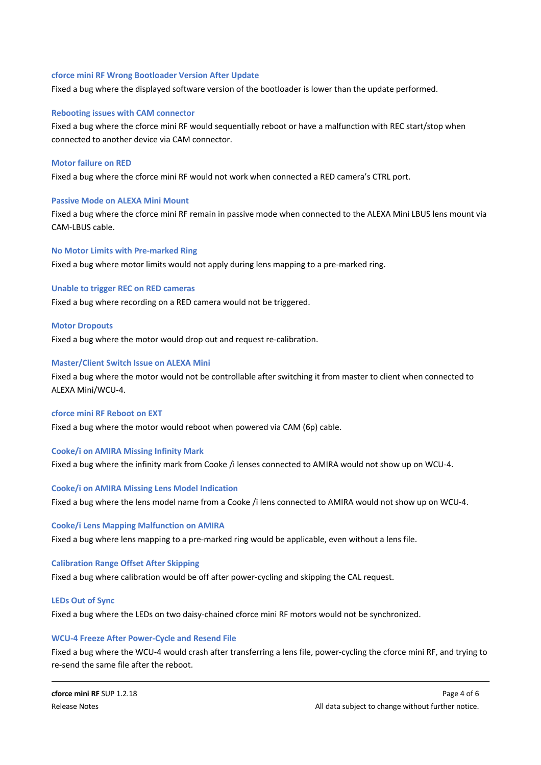#### <span id="page-3-0"></span>**cforce mini RF Wrong Bootloader Version After Update**

Fixed a bug where the displayed software version of the bootloader is lower than the update performed.

#### <span id="page-3-1"></span>**Rebooting issues with CAM connector**

Fixed a bug where the cforce mini RF would sequentially reboot or have a malfunction with REC start/stop when connected to another device via CAM connector.

#### <span id="page-3-2"></span>**Motor failure on RED**

Fixed a bug where the cforce mini RF would not work when connected a RED camera's CTRL port.

#### <span id="page-3-3"></span>**Passive Mode on ALEXA Mini Mount**

Fixed a bug where the cforce mini RF remain in passive mode when connected to the ALEXA Mini LBUS lens mount via CAM-LBUS cable.

#### <span id="page-3-4"></span>**No Motor Limits with Pre-marked Ring**

Fixed a bug where motor limits would not apply during lens mapping to a pre-marked ring.

#### <span id="page-3-5"></span>**Unable to trigger REC on RED cameras**

Fixed a bug where recording on a RED camera would not be triggered.

#### <span id="page-3-6"></span>**Motor Dropouts**

Fixed a bug where the motor would drop out and request re-calibration.

#### <span id="page-3-7"></span>**Master/Client Switch Issue on ALEXA Mini**

Fixed a bug where the motor would not be controllable after switching it from master to client when connected to ALEXA Mini/WCU-4.

#### <span id="page-3-8"></span>**cforce mini RF Reboot on EXT**

Fixed a bug where the motor would reboot when powered via CAM (6p) cable.

#### <span id="page-3-9"></span>**Cooke/i on AMIRA Missing Infinity Mark**

Fixed a bug where the infinity mark from Cooke /i lenses connected to AMIRA would not show up on WCU-4.

#### <span id="page-3-10"></span>**Cooke/i on AMIRA Missing Lens Model Indication**

Fixed a bug where the lens model name from a Cooke /i lens connected to AMIRA would not show up on WCU-4.

#### <span id="page-3-11"></span>**Cooke/i Lens Mapping Malfunction on AMIRA**

Fixed a bug where lens mapping to a pre-marked ring would be applicable, even without a lens file.

#### <span id="page-3-12"></span>**Calibration Range Offset After Skipping**

Fixed a bug where calibration would be off after power-cycling and skipping the CAL request.

#### <span id="page-3-13"></span>**LEDs Out of Sync**

Fixed a bug where the LEDs on two daisy-chained cforce mini RF motors would not be synchronized.

#### <span id="page-3-14"></span>**WCU-4 Freeze After Power-Cycle and Resend File**

Fixed a bug where the WCU-4 would crash after transferring a lens file, power-cycling the cforce mini RF, and trying to re-send the same file after the reboot.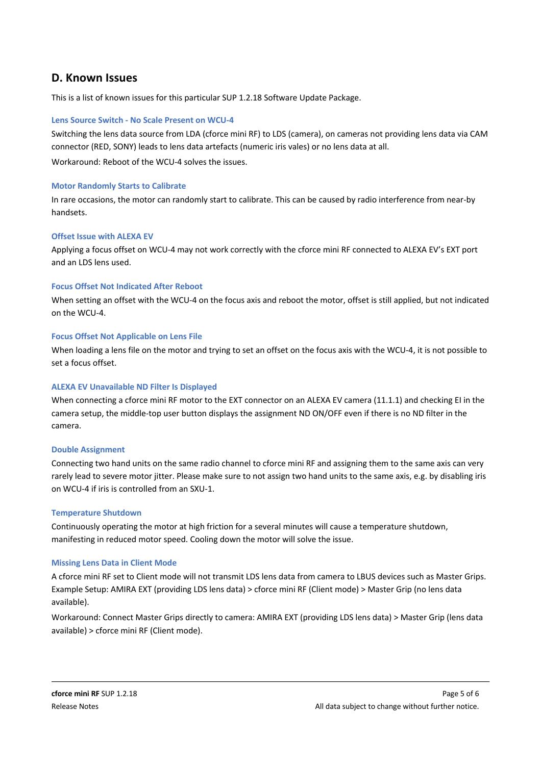# <span id="page-4-0"></span>**D. Known Issues**

This is a list of known issues for this particular SUP 1.2.18 Software Update Package.

# <span id="page-4-1"></span>**Lens Source Switch - No Scale Present on WCU-4**

Switching the lens data source from LDA (cforce mini RF) to LDS (camera), on cameras not providing lens data via CAM connector (RED, SONY) leads to lens data artefacts (numeric iris vales) or no lens data at all. Workaround: Reboot of the WCU-4 solves the issues.

# <span id="page-4-2"></span>**Motor Randomly Starts to Calibrate**

In rare occasions, the motor can randomly start to calibrate. This can be caused by radio interference from near-by handsets.

# <span id="page-4-3"></span>**Offset Issue with ALEXA EV**

Applying a focus offset on WCU-4 may not work correctly with the cforce mini RF connected to ALEXA EV's EXT port and an LDS lens used.

# <span id="page-4-4"></span>**Focus Offset Not Indicated After Reboot**

When setting an offset with the WCU-4 on the focus axis and reboot the motor, offset is still applied, but not indicated on the WCU-4.

# <span id="page-4-5"></span>**Focus Offset Not Applicable on Lens File**

When loading a lens file on the motor and trying to set an offset on the focus axis with the WCU-4, it is not possible to set a focus offset.

# <span id="page-4-6"></span>**ALEXA EV Unavailable ND Filter Is Displayed**

When connecting a cforce mini RF motor to the EXT connector on an ALEXA EV camera (11.1.1) and checking EI in the camera setup, the middle-top user button displays the assignment ND ON/OFF even if there is no ND filter in the camera.

# <span id="page-4-7"></span>**Double Assignment**

Connecting two hand units on the same radio channel to cforce mini RF and assigning them to the same axis can very rarely lead to severe motor jitter. Please make sure to not assign two hand units to the same axis, e.g. by disabling iris on WCU-4 if iris is controlled from an SXU-1.

# <span id="page-4-8"></span>**Temperature Shutdown**

Continuously operating the motor at high friction for a several minutes will cause a temperature shutdown, manifesting in reduced motor speed. Cooling down the motor will solve the issue.

# <span id="page-4-9"></span>**Missing Lens Data in Client Mode**

A cforce mini RF set to Client mode will not transmit LDS lens data from camera to LBUS devices such as Master Grips. Example Setup: AMIRA EXT (providing LDS lens data) > cforce mini RF (Client mode) > Master Grip (no lens data available).

Workaround: Connect Master Grips directly to camera: AMIRA EXT (providing LDS lens data) > Master Grip (lens data available) > cforce mini RF (Client mode).